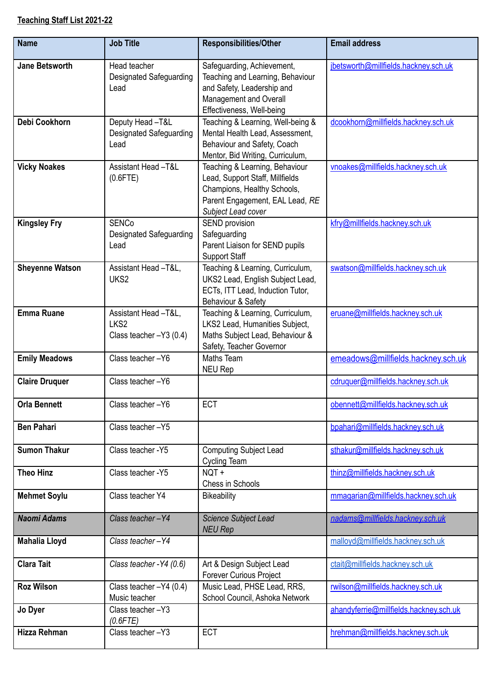## **Teaching Staff List 2021-22**

| <b>Name</b>            | <b>Job Title</b>                                                    | <b>Responsibilities/Other</b>                                                                                                                             | <b>Email address</b>                   |
|------------------------|---------------------------------------------------------------------|-----------------------------------------------------------------------------------------------------------------------------------------------------------|----------------------------------------|
| <b>Jane Betsworth</b>  | Head teacher<br><b>Designated Safeguarding</b><br>Lead              | Safeguarding, Achievement,<br>Teaching and Learning, Behaviour<br>and Safety, Leadership and<br>Management and Overall<br>Effectiveness, Well-being       | jbetsworth@millfields.hackney.sch.uk   |
| Debi Cookhorn          | Deputy Head-T&L<br><b>Designated Safeguarding</b><br>Lead           | Teaching & Learning, Well-being &<br>Mental Health Lead, Assessment,<br>Behaviour and Safety, Coach<br>Mentor, Bid Writing, Curriculum,                   | dcookhorn@millfields.hackney.sch.uk    |
| <b>Vicky Noakes</b>    | Assistant Head -T&L<br>$(0.6$ FTE)                                  | Teaching & Learning, Behaviour<br>Lead, Support Staff, Millfields<br>Champions, Healthy Schools,<br>Parent Engagement, EAL Lead, RE<br>Subject Lead cover | vnoakes@millfields.hackney.sch.uk      |
| <b>Kingsley Fry</b>    | <b>SENCo</b><br><b>Designated Safeguarding</b><br>Lead              | SEND provision<br>Safeguarding<br>Parent Liaison for SEND pupils<br><b>Support Staff</b>                                                                  | kfry@millfields.hackney.sch.uk         |
| <b>Sheyenne Watson</b> | Assistant Head -T&L,<br>UKS2                                        | Teaching & Learning, Curriculum,<br>UKS2 Lead, English Subject Lead,<br>ECTs, ITT Lead, Induction Tutor,<br>Behaviour & Safety                            | swatson@millfields.hackney.sch.uk      |
| <b>Emma Ruane</b>      | Assistant Head -T&L,<br>LKS <sub>2</sub><br>Class teacher -Y3 (0.4) | Teaching & Learning, Curriculum,<br>LKS2 Lead, Humanities Subject,<br>Maths Subject Lead, Behaviour &<br>Safety, Teacher Governor                         | eruane@millfields.hackney.sch.uk       |
| <b>Emily Meadows</b>   | Class teacher-Y6                                                    | Maths Team<br><b>NEU Rep</b>                                                                                                                              | emeadows@millfields.hackney.sch.uk     |
| <b>Claire Druquer</b>  | Class teacher-Y6                                                    |                                                                                                                                                           | cdruguer@millfields.hackney.sch.uk     |
| <b>Orla Bennett</b>    | Class teacher-Y6                                                    | <b>ECT</b>                                                                                                                                                | obennett@millfields.hackney.sch.uk     |
| <b>Ben Pahari</b>      | Class teacher-Y5                                                    |                                                                                                                                                           | bpahari@millfields.hackney.sch.uk      |
| <b>Sumon Thakur</b>    | Class teacher - Y5                                                  | <b>Computing Subject Lead</b><br>Cycling Team                                                                                                             | sthakur@millfields.hackney.sch.uk      |
| <b>Theo Hinz</b>       | Class teacher - Y5                                                  | NQT+<br>Chess in Schools                                                                                                                                  | thinz@millfields.hackney.sch.uk        |
| <b>Mehmet Soylu</b>    | Class teacher Y4                                                    | <b>Bikeability</b>                                                                                                                                        | mmagarian@millfields.hackney.sch.uk    |
| <b>Naomi Adams</b>     | Class teacher-Y4                                                    | Science Subject Lead<br><b>NEU Rep</b>                                                                                                                    | nadams@millfields.hackney.sch.uk       |
| <b>Mahalia Lloyd</b>   | Class teacher-Y4                                                    |                                                                                                                                                           | malloyd@millfields.hackney.sch.uk      |
| <b>Clara Tait</b>      | Class teacher - Y4 (0.6)                                            | Art & Design Subject Lead<br><b>Forever Curious Project</b>                                                                                               | ctait@millfields.hackney.sch.uk        |
| <b>Roz Wilson</b>      | Class teacher $-Y4$ (0.4)<br>Music teacher                          | Music Lead, PHSE Lead, RRS,<br>School Council, Ashoka Network                                                                                             | rwilson@millfields.hackney.sch.uk      |
| Jo Dyer                | Class teacher-Y3<br>$(0.6$ FTE)                                     |                                                                                                                                                           | ahandyferrie@millfields.hackney.sch.uk |
| Hizza Rehman           | Class teacher-Y3                                                    | <b>ECT</b>                                                                                                                                                | hrehman@millfields.hackney.sch.uk      |